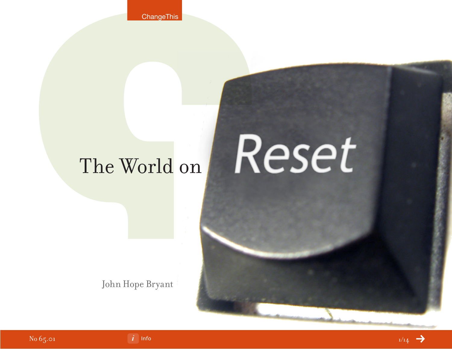**ChangeThis** 

# Reset The World on

John Hope Bryant

No 65.01



[Info](#page-13-0) $^{1/14}$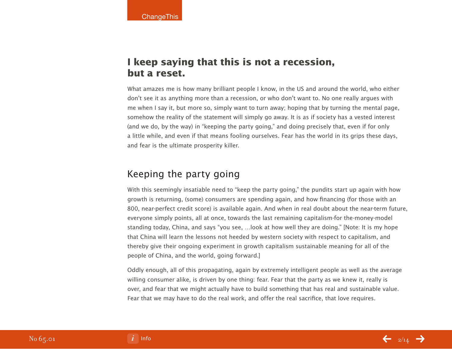## **I keep saying that this is not a recession, but a reset.**

What amazes me is how many brilliant people I know, in the US and around the world, who either don't see it as anything more than a recession, or who don't want to. No one really argues with me when I say it, but more so, simply want to turn away; hoping that by turning the mental page, somehow the reality of the statement will simply go away. It is as if society has a vested interest (and we do, by the way) in "keeping the party going," and doing precisely that, even if for only a little while, and even if that means fooling ourselves. Fear has the world in its grips these days, and fear is the ultimate prosperity killer.

## Keeping the party going

With this seemingly insatiable need to "keep the party going," the pundits start up again with how growth is returning, (some) consumers are spending again, and how financing (for those with an 800, near-perfect credit score) is available again. And when in real doubt about the near-term future, everyone simply points, all at once, towards the last remaining capitalism-for the-money-model standing today, China, and says "you see, …look at how well they are doing." [Note: It is my hope that China will learn the lessons not heeded by western society with respect to capitalism, and thereby give their ongoing experiment in growth capitalism sustainable meaning for all of the people of China, and the world, going forward.]

Oddly enough, all of this propagating, again by extremely intelligent people as well as the average willing consumer alike, is driven by one thing: fear. Fear that the party as we knew it, really is over, and fear that we might actually have to build something that has real and sustainable value. Fear that we may have to do the real work, and offer the real sacrifice, that love requires.

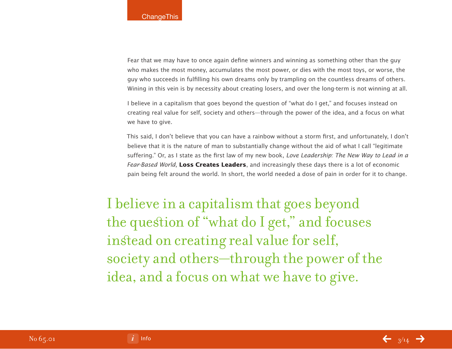Fear that we may have to once again define winners and winning as something other than the guy who makes the most money, accumulates the most power, or dies with the most toys, or worse, the guy who succeeds in fulfilling his own dreams only by trampling on the countless dreams of others. Wining in this vein is by necessity about creating losers, and over the long-term is not winning at all.

I believe in a capitalism that goes beyond the question of "what do I get," and focuses instead on creating real value for self, society and others—through the power of the idea, and a focus on what we have to give.

This said, I don't believe that you can have a rainbow without a storm first, and unfortunately, I don't believe that it is the nature of man to substantially change without the aid of what I call "legitimate suffering." Or, as I state as the first law of my new book, Love Leadership: The New Way to Lead in a Fear-Based World, **Loss Creates Leaders**, and increasingly these days there is a lot of economic pain being felt around the world. In short, the world needed a dose of pain in order for it to change.

I believe in a capitalism that goes beyond the question of "what do I get," and focuses instead on creating real value for self, society and others—through the power of the idea, and a focus on what we have to give.

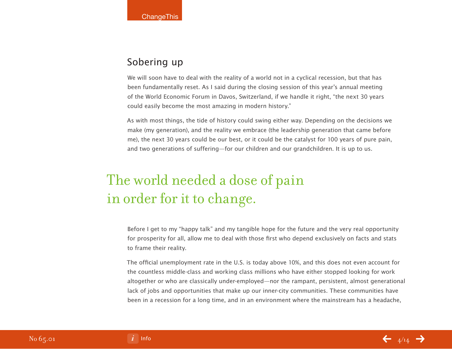## Sobering up

We will soon have to deal with the reality of a world not in a cyclical recession, but that has been fundamentally reset. As I said during the closing session of this year's annual meeting of the World Economic Forum in Davos, Switzerland, if we handle it right, "the next 30 years could easily become the most amazing in modern history."

As with most things, the tide of history could swing either way. Depending on the decisions we make (my generation), and the reality we embrace (the leadership generation that came before me), the next 30 years could be our best, or it could be the catalyst for 100 years of pure pain, and two generations of suffering—for our children and our grandchildren. It is up to us.

## The world needed a dose of pain in order for it to change.

Before I get to my "happy talk" and my tangible hope for the future and the very real opportunity for prosperity for all, allow me to deal with those first who depend exclusively on facts and stats to frame their reality.

The official unemployment rate in the U.S. is today above 10%, and this does not even account for the countless middle-class and working class millions who have either stopped looking for work altogether or who are classically under-employed—nor the rampant, persistent, almost generational lack of jobs and opportunities that make up our inner-city communities. These communities have been in a recession for a long time, and in an environment where the mainstream has a headache,

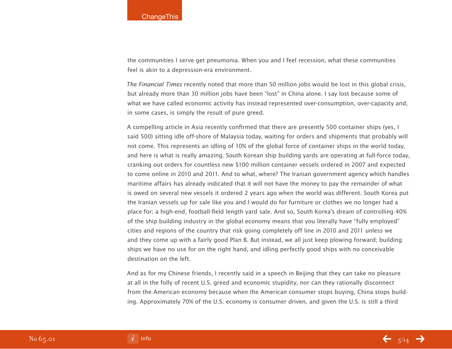the communities I serve get pneumonia. When you and I feel recession, what these communities feel is akin to a depression-era environment.

The Financial Times recently noted that more than 50 million jobs would be lost in this global crisis, but already more than 30 million jobs have been "lost" in China alone. I say lost because some of what we have called economic activity has instead represented over-consumption, over-capacity and, in some cases, is simply the result of pure greed.

A compelling article in Asia recently confirmed that there are presently 500 container ships (yes, I said 500) sitting idle off-shore of Malaysia today, waiting for orders and shipments that probably will not come. This represents an idling of 10% of the global force of container ships in the world today, and here is what is really amazing; South Korean ship building yards are operating at full-force today, cranking out orders for countless new \$100 million container vessels ordered in 2007 and expected to come online in 2010 and 2011. And to what, where? The Iranian government agency which handles maritime affairs has already indicated that it will not have the money to pay the remainder of what is owed on several new vessels it ordered 2 years ago when the world was different. South Korea put the Iranian vessels up for sale like you and I would do for furniture or clothes we no longer had a place for; a high-end, football-field length yard sale. And so, South Korea's dream of controlling 40% of the ship building industry in the global economy means that you literally have "fully employed" cities and regions of the country that risk going completely off line in 2010 and 2011 unless we and they come up with a fairly good Plan B. But instead, we all just keep plowing forward; building ships we have no use for on the right hand, and idling perfectly good ships with no conceivable destination on the left.

And as for my Chinese friends, I recently said in a speech in Beijing that they can take no pleasure at all in the folly of recent U.S. greed and economic stupidity, nor can they rationally disconnect from the American economy because when the American consumer stops buying, China stops building. Approximately 70% of the U.S. economy is consumer driven, and given the U.S. is still a third



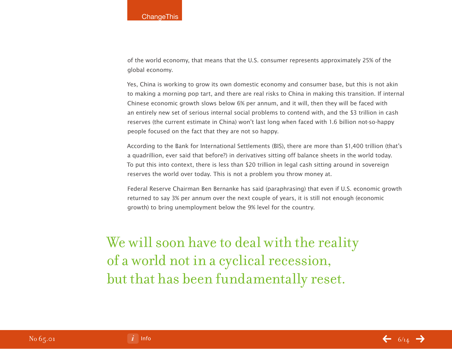of the world economy, that means that the U.S. consumer represents approximately 25% of the global economy.

Yes, China is working to grow its own domestic economy and consumer base, but this is not akin to making a morning pop tart, and there are real risks to China in making this transition. If internal Chinese economic growth slows below 6% per annum, and it will, then they will be faced with an entirely new set of serious internal social problems to contend with, and the \$3 trillion in cash reserves (the current estimate in China) won't last long when faced with 1.6 billion not-so-happy people focused on the fact that they are not so happy.

According to the Bank for International Settlements (BIS), there are more than \$1,400 trillion (that's a quadrillion, ever said that before?) in derivatives sitting off balance sheets in the world today. To put this into context, there is less than \$20 trillion in legal cash sitting around in sovereign reserves the world over today. This is not a problem you throw money at.

Federal Reserve Chairman Ben Bernanke has said (paraphrasing) that even if U.S. economic growth returned to say 3% per annum over the next couple of years, it is still not enough (economic growth) to bring unemployment below the 9% level for the country.

We will soon have to deal with the reality of a world not in a cyclical recession, but that has been fundamentally reset.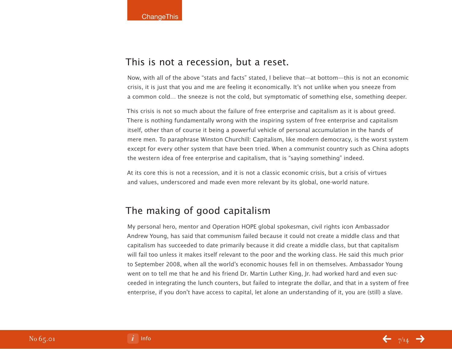#### This is not a recession, but a reset.

Now, with all of the above "stats and facts" stated, I believe that—at bottom—this is not an economic crisis, it is just that you and me are feeling it economically. It's not unlike when you sneeze from a common cold… the sneeze is not the cold, but symptomatic of something else, something deeper.

This crisis is not so much about the failure of free enterprise and capitalism as it is about greed. There is nothing fundamentally wrong with the inspiring system of free enterprise and capitalism itself, other than of course it being a powerful vehicle of personal accumulation in the hands of mere men. To paraphrase Winston Churchill: Capitalism, like modern democracy, is the worst system except for every other system that have been tried. When a communist country such as China adopts the western idea of free enterprise and capitalism, that is "saying something" indeed.

At its core this is not a recession, and it is not a classic economic crisis, but a crisis of virtues and values, underscored and made even more relevant by its global, one-world nature.

## The making of good capitalism

My personal hero, mentor and Operation HOPE global spokesman, civil rights icon Ambassador Andrew Young, has said that communism failed because it could not create a middle class and that capitalism has succeeded to date primarily because it did create a middle class, but that capitalism will fail too unless it makes itself relevant to the poor and the working class. He said this much prior to September 2008, when all the world's economic houses fell in on themselves. Ambassador Young went on to tell me that he and his friend Dr. Martin Luther King, Jr. had worked hard and even succeeded in integrating the lunch counters, but failed to integrate the dollar, and that in a system of free enterprise, if you don't have access to capital, let alone an understanding of it, you are (still) a slave.

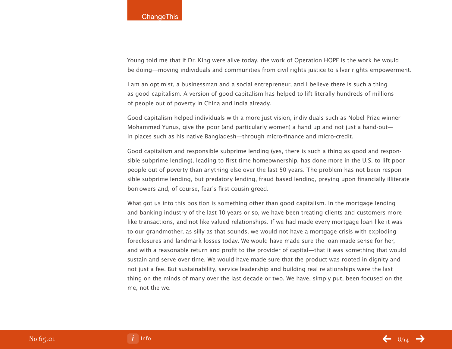#### **ChangeThis**

Young told me that if Dr. King were alive today, the work of Operation HOPE is the work he would be doing—moving individuals and communities from civil rights justice to silver rights empowerment.

I am an optimist, a businessman and a social entrepreneur, and I believe there is such a thing as good capitalism. A version of good capitalism has helped to lift literally hundreds of millions of people out of poverty in China and India already.

Good capitalism helped individuals with a more just vision, individuals such as Nobel Prize winner Mohammed Yunus, give the poor (and particularly women) a hand up and not just a hand-out in places such as his native Bangladesh—through micro-finance and micro-credit.

Good capitalism and responsible subprime lending (yes, there is such a thing as good and responsible subprime lending), leading to first time homeownership, has done more in the U.S. to lift poor people out of poverty than anything else over the last 50 years. The problem has not been responsible subprime lending, but predatory lending, fraud based lending, preying upon financially illiterate borrowers and, of course, fear's first cousin greed.

What got us into this position is something other than good capitalism. In the mortgage lending and banking industry of the last 10 years or so, we have been treating clients and customers more like transactions, and not like valued relationships. If we had made every mortgage loan like it was to our grandmother, as silly as that sounds, we would not have a mortgage crisis with exploding foreclosures and landmark losses today. We would have made sure the loan made sense for her, and with a reasonable return and profit to the provider of capital—that it was something that would sustain and serve over time. We would have made sure that the product was rooted in dignity and not just a fee. But sustainability, service leadership and building real relationships were the last thing on the minds of many over the last decade or two. We have, simply put, been focused on the me, not the we.

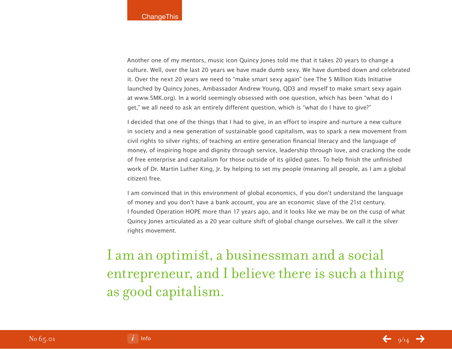Another one of my mentors, music icon Quincy Jones told me that it takes 20 years to change a culture. Well, over the last 20 years we have made dumb sexy. We have dumbed down and celebrated it. Over the next 20 years we need to "make smart sexy again" (see The 5 Million Kids Initiative launched by Quincy Jones, Ambassador Andrew Young, QD3 and myself to make smart sexy again at www.5MK.org). In a world seemingly obsessed with one question, which has been "what do I get," we all need to ask an entirely different question, which is "what do I have to give?"

I decided that one of the things that I had to give, in an effort to inspire and nurture a new culture in society and a new generation of sustainable good capitalism, was to spark a new movement from civil rights to silver rights; of teaching an entire generation financial literacy and the language of money, of inspiring hope and dignity through service, leadership through love, and cracking the code of free enterprise and capitalism for those outside of its gilded gates. To help finish the unfinished work of Dr. Martin Luther King, Jr. by helping to set my people (meaning all people, as I am a global citizen) free.

I am convinced that in this environment of global economics, if you don't understand the language of money and you don't have a bank account, you are an economic slave of the 21st century. I founded Operation HOPE more than 17 years ago, and it looks like we may be on the cusp of what Quincy Jones articulated as a 20 year culture shift of global change ourselves. We call it the silver rights movement.

I am an optimist, a businessman and a social entrepreneur, and I believe there is such a thing as good capitalism.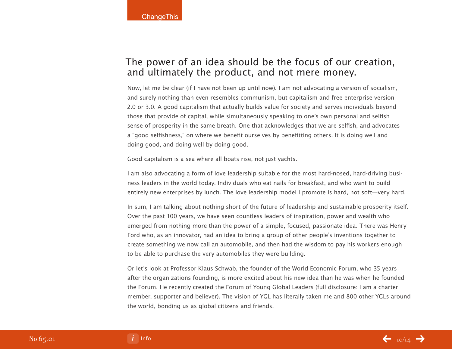## The power of an idea should be the focus of our creation, and ultimately the product, and not mere money.

Now, let me be clear (if I have not been up until now). I am not advocating a version of socialism, and surely nothing than even resembles communism, but capitalism and free enterprise version 2.0 or 3.0. A good capitalism that actually builds value for society and serves individuals beyond those that provide of capital, while simultaneously speaking to one's own personal and selfish sense of prosperity in the same breath. One that acknowledges that we are selfish, and advocates a "good selfishness," on where we benefit ourselves by benefitting others. It is doing well and doing good, and doing well by doing good.

Good capitalism is a sea where all boats rise, not just yachts.

I am also advocating a form of love leadership suitable for the most hard-nosed, hard-driving business leaders in the world today. Individuals who eat nails for breakfast, and who want to build entirely new enterprises by lunch. The love leadership model I promote is hard, not soft—very hard.

In sum, I am talking about nothing short of the future of leadership and sustainable prosperity itself. Over the past 100 years, we have seen countless leaders of inspiration, power and wealth who emerged from nothing more than the power of a simple, focused, passionate idea. There was Henry Ford who, as an innovator, had an idea to bring a group of other people's inventions together to create something we now call an automobile, and then had the wisdom to pay his workers enough to be able to purchase the very automobiles they were building.

Or let's look at Professor Klaus Schwab, the founder of the World Economic Forum, who 35 years after the organizations founding, is more excited about his new idea than he was when he founded the Forum. He recently created the Forum of Young Global Leaders (full disclosure: I am a charter member, supporter and believer). The vision of YGL has literally taken me and 800 other YGLs around the world, bonding us as global citizens and friends.

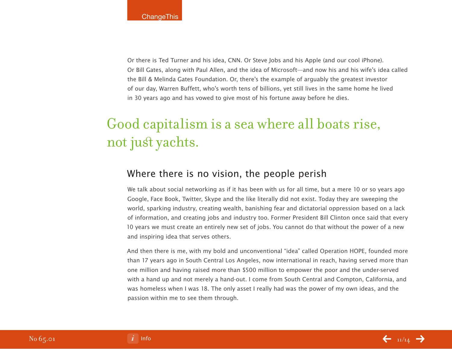Or there is Ted Turner and his idea, CNN. Or Steve Jobs and his Apple (and our cool iPhone). Or Bill Gates, along with Paul Allen, and the idea of Microsoft—and now his and his wife's idea called the Bill & Melinda Gates Foundation. Or, there's the example of arguably the greatest investor of our day, Warren Buffett, who's worth tens of billions, yet still lives in the same home he lived in 30 years ago and has vowed to give most of his fortune away before he dies.

## Good capitalism is a sea where all boats rise, not just yachts.

### Where there is no vision, the people perish

We talk about social networking as if it has been with us for all time, but a mere 10 or so years ago Google, Face Book, Twitter, Skype and the like literally did not exist. Today they are sweeping the world, sparking industry, creating wealth, banishing fear and dictatorial oppression based on a lack of information, and creating jobs and industry too. Former President Bill Clinton once said that every 10 years we must create an entirely new set of jobs. You cannot do that without the power of a new and inspiring idea that serves others.

And then there is me, with my bold and unconventional "idea" called Operation HOPE, founded more than 17 years ago in South Central Los Angeles, now international in reach, having served more than one million and having raised more than \$500 million to empower the poor and the under-served with a hand up and not merely a hand-out. I come from South Central and Compton, California, and was homeless when I was 18. The only asset I really had was the power of my own ideas, and the passion within me to see them through.



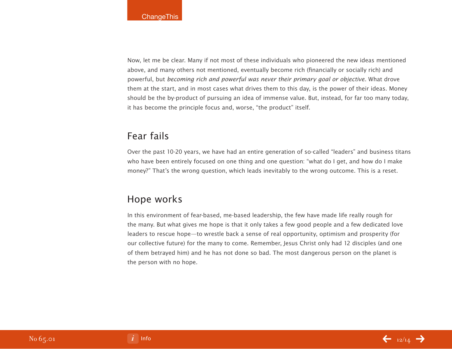Now, let me be clear. Many if not most of these individuals who pioneered the new ideas mentioned above, and many others not mentioned, eventually become rich (financially or socially rich) and powerful, but becoming rich and powerful was never their primary goal or objective. What drove them at the start, and in most cases what drives them to this day, is the power of their ideas. Money should be the by-product of pursuing an idea of immense value. But, instead, for far too many today, it has become the principle focus and, worse, "the product" itself.

## Fear fails

Over the past 10-20 years, we have had an entire generation of so-called "leaders" and business titans who have been entirely focused on one thing and one question: "what do I get, and how do I make money?" That's the wrong question, which leads inevitably to the wrong outcome. This is a reset.

## Hope works

In this environment of fear-based, me-based leadership, the few have made life really rough for the many. But what gives me hope is that it only takes a few good people and a few dedicated love leaders to rescue hope—to wrestle back a sense of real opportunity, optimism and prosperity (for our collective future) for the many to come. Remember, Jesus Christ only had 12 disciples (and one of them betrayed him) and he has not done so bad. The most dangerous person on the planet is the person with no hope.

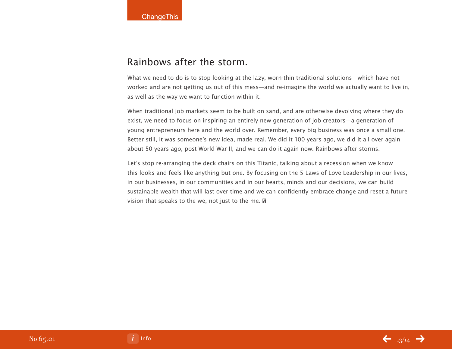### Rainbows after the storm.

What we need to do is to stop looking at the lazy, worn-thin traditional solutions—which have not worked and are not getting us out of this mess—and re-imagine the world we actually want to live in, as well as the way we want to function within it.

When traditional job markets seem to be built on sand, and are otherwise devolving where they do exist, we need to focus on inspiring an entirely new generation of job creators—a generation of young entrepreneurs here and the world over. Remember, every big business was once a small one. Better still, it was someone's new idea, made real. We did it 100 years ago, we did it all over again about 50 years ago, post World War II, and we can do it again now. Rainbows after storms.

Let's stop re-arranging the deck chairs on this Titanic, talking about a recession when we know this looks and feels like anything but one. By focusing on the 5 Laws of Love Leadership in our lives, in our businesses, in our communities and in our hearts, minds and our decisions, we can build sustainable wealth that will last over time and we can confidently embrace change and reset a future vision that speaks to the we, not just to the me.  $\mathbf{\Omega}$